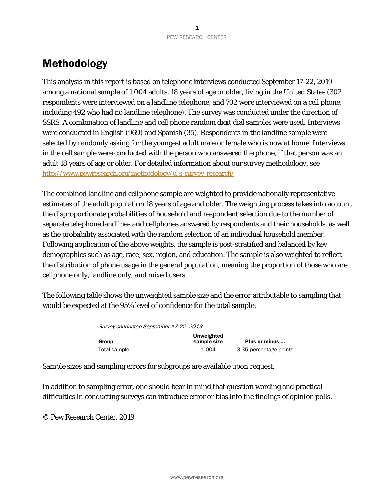# Methodology

This analysis in this report is based on telephone interviews conducted September 17-22, 2019 among a national sample of 1,004 adults, 18 years of age or older, living in the United States (302 respondents were interviewed on a landline telephone, and 702 were interviewed on a cell phone, including 492 who had no landline telephone). The survey was conducted under the direction of SSRS. A combination of landline and cell phone random digit dial samples were used. Interviews were conducted in English (969) and Spanish (35). Respondents in the landline sample were selected by randomly asking for the youngest adult male or female who is now at home. Interviews in the cell sample were conducted with the person who answered the phone, if that person was an adult 18 years of age or older. For detailed information about our survey methodology, see <http://www.pewresearch.org/methodology/u-s-survey-research/>

The combined landline and cellphone sample are weighted to provide nationally representative estimates of the adult population 18 years of age and older. The weighting process takes into account the disproportionate probabilities of household and respondent selection due to the number of separate telephone landlines and cellphones answered by respondents and their households, as well as the probability associated with the random selection of an individual household member. Following application of the above weights, the sample is post-stratified and balanced by key demographics such as age, race, sex, region, and education. The sample is also weighted to reflect the distribution of phone usage in the general population, meaning the proportion of those who are cellphone only, landline only, and mixed users.

The following table shows the unweighted sample size and the error attributable to sampling that would be expected at the 95% level of confidence for the total sample:

| Survey conducted September 17-22, 2019 |                           |                        |  |  |  |  |  |  |
|----------------------------------------|---------------------------|------------------------|--|--|--|--|--|--|
| Group                                  | Unweighted<br>sample size | Plus or minus          |  |  |  |  |  |  |
| Total sample                           | 1.004                     | 3.35 percentage points |  |  |  |  |  |  |

Sample sizes and sampling errors for subgroups are available upon request.

In addition to sampling error, one should bear in mind that question wording and practical difficulties in conducting surveys can introduce error or bias into the findings of opinion polls.

© Pew Research Center, 2019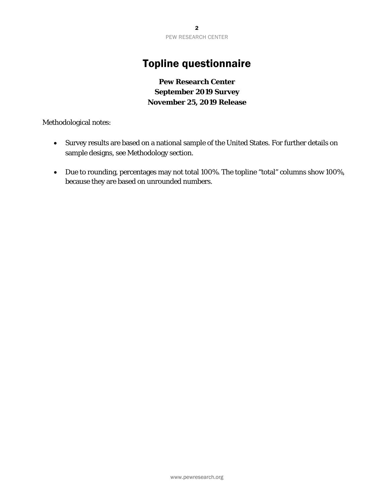## Topline questionnaire

### **Pew Research Center September 2019 Survey November 25, 2019 Release**

Methodological notes:

- Survey results are based on a national sample of the United States. For further details on sample designs, see Methodology section.
- Due to rounding, percentages may not total 100%. The topline "total" columns show 100%, because they are based on unrounded numbers.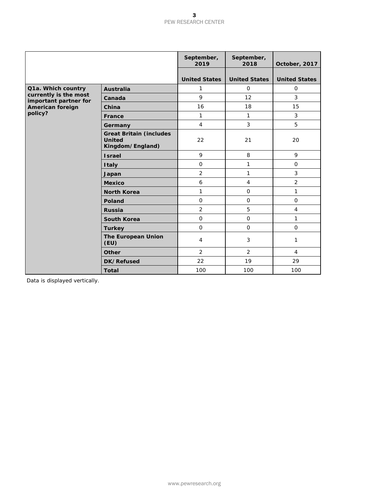#### 3 PEW RESEARCH CENTER

|                                                |                                                                     | September,<br>2019   | September,<br>2018   | October, 2017        |
|------------------------------------------------|---------------------------------------------------------------------|----------------------|----------------------|----------------------|
|                                                |                                                                     | <b>United States</b> | <b>United States</b> | <b>United States</b> |
| Q1a. Which country                             | <b>Australia</b>                                                    | 1                    | $\mathbf 0$          | $\mathbf{O}$         |
| currently is the most<br>important partner for | Canada                                                              | 9                    | 12                   | 3                    |
| American foreign                               | China                                                               | 16                   | 18                   | 15                   |
| policy?                                        | France                                                              | $\mathbf{1}$         | $\mathbf{1}$         | 3                    |
|                                                | Germany                                                             | $\overline{4}$       | $\mathbf{3}$         | 5                    |
|                                                | <b>Great Britain (includes</b><br><b>United</b><br>Kingdom/England) | 22                   | 21                   | 20                   |
|                                                | <b>Israel</b>                                                       | 9                    | 8                    | 9                    |
|                                                | <b>Italy</b>                                                        | $\mathbf 0$          | $\mathbf{1}$         | $\mathbf 0$          |
|                                                | Japan                                                               | $\overline{2}$       | $\mathbf{1}$         | 3                    |
|                                                | <b>Mexico</b>                                                       | 6                    | $\overline{4}$       | $\overline{2}$       |
|                                                | <b>North Korea</b>                                                  | 1                    | $\mathbf 0$          | 1                    |
|                                                | Poland                                                              | $\mathbf 0$          | $\mathbf 0$          | $\mathbf 0$          |
|                                                | <b>Russia</b>                                                       | 2                    | 5                    | $\overline{4}$       |
|                                                | <b>South Korea</b>                                                  | $\mathsf{O}\xspace$  | $\mathbf 0$          | 1                    |
|                                                | <b>Turkey</b>                                                       | $\mathsf{O}\xspace$  | $\mathbf 0$          | $\mathbf 0$          |
|                                                | <b>The European Union</b><br>(EU)                                   | $\overline{4}$       | $\mathbf{3}$         | 1                    |
|                                                | <b>Other</b>                                                        | $\overline{2}$       | 2                    | $\overline{4}$       |
|                                                | DK/Refused                                                          | 22                   | 19                   | 29                   |
|                                                | <b>Total</b>                                                        | 100                  | 100                  | 100                  |

Data is displayed vertically.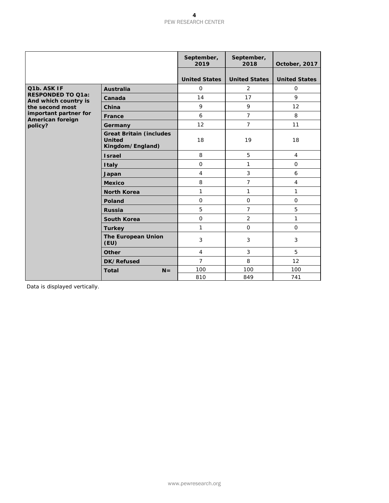#### 4 PEW RESEARCH CENTER

|                                                  |                                                                     | September,<br>2019   | September,<br>2018   | October, 2017        |
|--------------------------------------------------|---------------------------------------------------------------------|----------------------|----------------------|----------------------|
|                                                  |                                                                     | <b>United States</b> | <b>United States</b> | <b>United States</b> |
| Q1b. ASK IF                                      | <b>Australia</b>                                                    | $\mathbf 0$          | 2                    | $\mathbf{O}$         |
| <b>RESPONDED TO Q1a:</b><br>And which country is | Canada                                                              | 14                   | 17                   | 9                    |
| the second most                                  | China                                                               | 9                    | 9                    | 12                   |
| important partner for<br>American foreign        | France                                                              | 6                    | $\overline{7}$       | 8                    |
| policy?                                          | Germany                                                             | 12                   | $\overline{7}$       | 11                   |
|                                                  | <b>Great Britain (includes</b><br><b>United</b><br>Kingdom/England) | 18                   | 19                   | 18                   |
|                                                  | <b>Israel</b>                                                       | 8                    | 5                    | $\overline{4}$       |
|                                                  | <b>Italy</b>                                                        | $\mathbf 0$          | 1                    | $\Omega$             |
|                                                  | Japan                                                               | $\overline{4}$       | 3                    | 6                    |
|                                                  | <b>Mexico</b>                                                       | 8                    | $\overline{7}$       | $\overline{4}$       |
|                                                  | <b>North Korea</b>                                                  | $\mathbf{1}$         | 1                    | 1                    |
|                                                  | <b>Poland</b>                                                       | $\mathbf{O}$         | $\mathbf{O}$         | $\mathbf{O}$         |
|                                                  | <b>Russia</b>                                                       | 5                    | $\overline{7}$       | 5                    |
|                                                  | <b>South Korea</b>                                                  | $\mathbf 0$          | $\overline{2}$       | 1                    |
|                                                  | <b>Turkey</b>                                                       | $\mathbf{1}$         | $\mathsf{O}$         | $\mathbf{O}$         |
|                                                  | <b>The European Union</b><br>(EU)                                   | $\mathbf{3}$         | $\sqrt{3}$           | 3                    |
|                                                  | <b>Other</b>                                                        | $\overline{4}$       | $\mathbf{3}$         | 5                    |
|                                                  | DK/Refused                                                          | $\overline{7}$       | 8                    | 12                   |
|                                                  | <b>Total</b><br>$N =$                                               | 100                  | 100                  | 100                  |
|                                                  |                                                                     | 810                  | 849                  | 741                  |

Data is displayed vertically.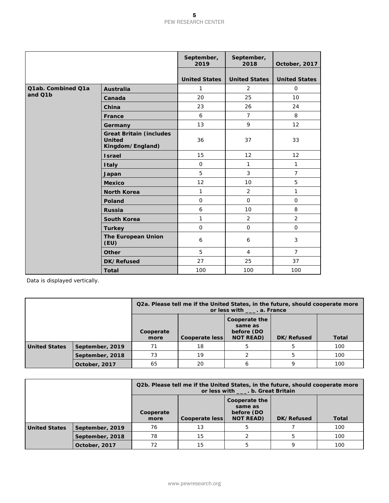|                    |                                                                     | September,<br>2019   | September,<br>2018   | October, 2017        |
|--------------------|---------------------------------------------------------------------|----------------------|----------------------|----------------------|
|                    |                                                                     | <b>United States</b> | <b>United States</b> | <b>United States</b> |
| Q1ab. Combined Q1a | <b>Australia</b>                                                    | 1                    | 2                    | $\mathbf{O}$         |
| and Q1b            | Canada                                                              | 20                   | 25                   | 10                   |
|                    | China                                                               | 23                   | 26                   | 24                   |
|                    | France                                                              | 6                    | $\overline{7}$       | 8                    |
|                    | Germany                                                             | 13                   | 9                    | 12                   |
|                    | <b>Great Britain (includes</b><br><b>United</b><br>Kingdom/England) | 36                   | 37                   | 33                   |
|                    | <b>Israel</b>                                                       | 15                   | 12                   | 12                   |
|                    | <b>Italy</b>                                                        | $\mathbf 0$          | $\mathbf{1}$         | 1                    |
|                    | Japan                                                               | 5                    | 3                    | $\overline{7}$       |
|                    | <b>Mexico</b>                                                       | 12                   | 10                   | 5                    |
|                    | <b>North Korea</b>                                                  | 1                    | $\overline{2}$       | 1                    |
|                    | Poland                                                              | $\mathbf 0$          | $\mathbf{O}$         | $\mathbf{O}$         |
|                    | <b>Russia</b>                                                       | 6                    | 10                   | 8                    |
|                    | <b>South Korea</b>                                                  | 1                    | 2                    | 2                    |
|                    | <b>Turkey</b>                                                       | $\mathbf 0$          | $\mathbf 0$          | $\mathbf{O}$         |
|                    | <b>The European Union</b><br>(EU)                                   | 6                    | 6                    | 3                    |
|                    | <b>Other</b>                                                        | 5                    | $\overline{4}$       | $\overline{7}$       |
|                    | DK/Refused                                                          | 27                   | 25                   | 37                   |
|                    | <b>Total</b>                                                        | 100                  | 100                  | 100                  |

Data is displayed vertically.

|                 |                 |                                                                                                                          | Q2a. Please tell me if the United States, in the future, should cooperate more<br>or less with _____. a. France |   |  |     |
|-----------------|-----------------|--------------------------------------------------------------------------------------------------------------------------|-----------------------------------------------------------------------------------------------------------------|---|--|-----|
|                 |                 | Cooperate the<br>same as<br>before (DO<br>Cooperate<br><b>NOT READ)</b><br>DK/Refused<br>Cooperate less<br>Total<br>more |                                                                                                                 |   |  |     |
| United States   | September, 2019 | 71                                                                                                                       | 18                                                                                                              |   |  | 100 |
| September, 2018 |                 | 73                                                                                                                       | 19                                                                                                              |   |  | 100 |
|                 | October, 2017   | 65                                                                                                                       | 20                                                                                                              | b |  | 100 |

|                                  |                 |                                                                                                                                 | Q2b. Please tell me if the United States, in the future, should cooperate more<br>or less with ____. b. Great Britain |  |  |     |
|----------------------------------|-----------------|---------------------------------------------------------------------------------------------------------------------------------|-----------------------------------------------------------------------------------------------------------------------|--|--|-----|
|                                  |                 | Cooperate the<br>same as<br>before (DO<br>Cooperate<br><b>NOT READ)</b><br>DK/Refused<br>Cooperate less<br><b>Total</b><br>more |                                                                                                                       |  |  |     |
| United States<br>September, 2019 |                 | 76                                                                                                                              | 13                                                                                                                    |  |  | 100 |
|                                  | September, 2018 | 78                                                                                                                              | 15                                                                                                                    |  |  | 100 |
|                                  | October, 2017   | 72                                                                                                                              | 15                                                                                                                    |  |  | 100 |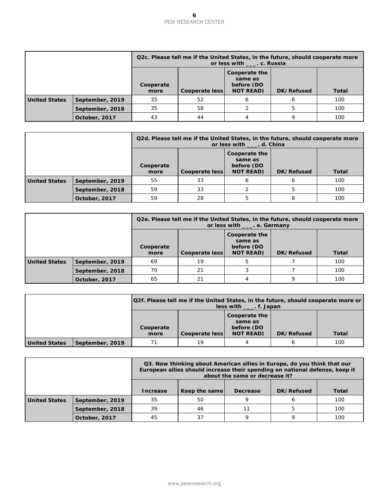|                      |                 |                                                                                                                                 | Q2c. Please tell me if the United States, in the future, should cooperate more<br>or less with ____. c. Russia |  |  |     |
|----------------------|-----------------|---------------------------------------------------------------------------------------------------------------------------------|----------------------------------------------------------------------------------------------------------------|--|--|-----|
|                      |                 | Cooperate the<br>same as<br>before (DO<br>Cooperate<br><b>NOT READ)</b><br>DK/Refused<br>Cooperate less<br><b>Total</b><br>more |                                                                                                                |  |  |     |
| <b>United States</b> | September, 2019 | 35                                                                                                                              | 52                                                                                                             |  |  | 100 |
| September, 2018      |                 | 35                                                                                                                              | 58                                                                                                             |  |  | 100 |
|                      | October, 2017   | 43                                                                                                                              | 44                                                                                                             |  |  | 100 |

|                 |                 |                                                                                                                          | Q2d. Please tell me if the United States, in the future, should cooperate more<br>or less with _____. d. China |  |  |     |
|-----------------|-----------------|--------------------------------------------------------------------------------------------------------------------------|----------------------------------------------------------------------------------------------------------------|--|--|-----|
|                 |                 | Cooperate the<br>same as<br>before (DO<br>Cooperate<br><b>NOT READ)</b><br>Cooperate less<br>DK/Refused<br>Total<br>more |                                                                                                                |  |  |     |
| United States   | September, 2019 | 55                                                                                                                       | 33                                                                                                             |  |  | 100 |
| September, 2018 |                 | 59                                                                                                                       | 33                                                                                                             |  |  | 100 |
|                 | October, 2017   | 59                                                                                                                       | 28                                                                                                             |  |  | 100 |

|                 |                 |                                                                                                                          | Q2e. Please tell me if the United States, in the future, should cooperate more<br>or less with ____. e. Germany |  |  |     |
|-----------------|-----------------|--------------------------------------------------------------------------------------------------------------------------|-----------------------------------------------------------------------------------------------------------------|--|--|-----|
|                 |                 | Cooperate the<br>same as<br>before (DO<br>Cooperate<br><b>NOT READ)</b><br>DK/Refused<br>Cooperate less<br>Total<br>more |                                                                                                                 |  |  |     |
| United States   | September, 2019 | 69                                                                                                                       | 19                                                                                                              |  |  | 100 |
| September, 2018 |                 | 70                                                                                                                       | 21                                                                                                              |  |  | 100 |
|                 | October, 2017   | 65                                                                                                                       | 21                                                                                                              |  |  | 100 |

|                      |                 | Q2f. Please tell me if the United States, in the future, should cooperate more or<br>$less with$ $\ldots$ f. Japan |                |                                                            |            |              |
|----------------------|-----------------|--------------------------------------------------------------------------------------------------------------------|----------------|------------------------------------------------------------|------------|--------------|
|                      |                 | Cooperate<br>more                                                                                                  | Cooperate less | Cooperate the<br>same as<br>before (DO<br><b>NOT READ)</b> | DK/Refused | <b>Total</b> |
| <b>United States</b> | September, 2019 | 71                                                                                                                 | 19             |                                                            |            | 100          |

|               |                 |          | Q3. Now thinking about American allies in Europe, do you think that our<br>European allies should increase their spending on national defense, keep it | about the same or decrease it? |  |     |  |  |
|---------------|-----------------|----------|--------------------------------------------------------------------------------------------------------------------------------------------------------|--------------------------------|--|-----|--|--|
|               |                 | Increase | DK/Refused<br>Keep the same<br>Total<br>Decrease                                                                                                       |                                |  |     |  |  |
| United States | September, 2019 | 35       | 50                                                                                                                                                     |                                |  | 100 |  |  |
|               | September, 2018 | 39       | 46                                                                                                                                                     | 11                             |  | 100 |  |  |
|               | October, 2017   | 45       | 37                                                                                                                                                     |                                |  | 100 |  |  |